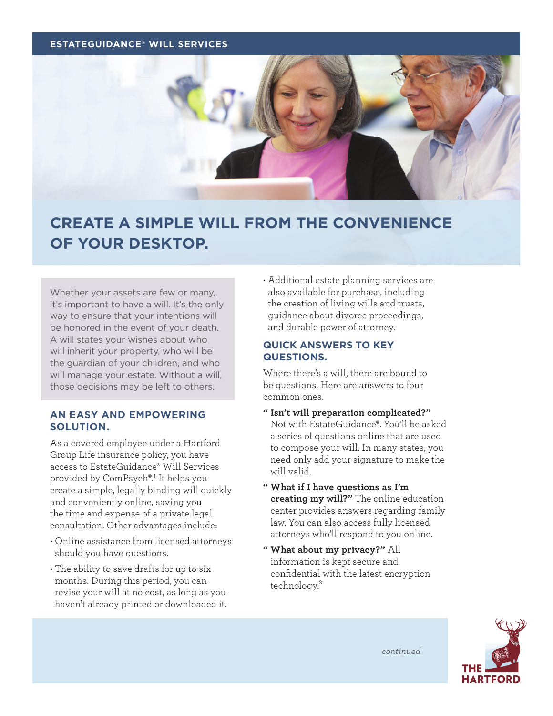#### **ESTATEGUIDANCE® WILL SERVICES**



# **CREATE A SIMPLE WILL FROM THE CONVENIENCE OF YOUR DESKTOP.**

Whether your assets are few or many, it's important to have a will. It's the only way to ensure that your intentions will be honored in the event of your death. A will states your wishes about who will inherit your property, who will be the guardian of your children, and who will manage your estate. Without a will, those decisions may be left to others.

# **AN EASY AND EMPOWERING SOLUTION.**

As a covered employee under a Hartford Group Life insurance policy, you have access to EstateGuidance® Will Services provided by ComPsych®.1 It helps you create a simple, legally binding will quickly and conveniently online, saving you the time and expense of a private legal consultation. Other advantages include:

- Online assistance from licensed attorneys should you have questions.
- The ability to save drafts for up to six months. During this period, you can revise your will at no cost, as long as you haven't already printed or downloaded it.

• Additional estate planning services are also available for purchase, including the creation of living wills and trusts, guidance about divorce proceedings, and durable power of attorney.

# **QUICK ANSWERS TO KEY QUESTIONS.**

Where there's a will, there are bound to be questions. Here are answers to four common ones.

- **" Isn't will preparation complicated?"** Not with EstateGuidance®. You'll be asked a series of questions online that are used to compose your will. In many states, you need only add your signature to make the will valid.
- **" What if I have questions as I'm creating my will?"** The online education center provides answers regarding family law. You can also access fully licensed attorneys who'll respond to you online.
- **" What about my privacy?"** All information is kept secure and confidential with the latest encryption technology.²



*continued*